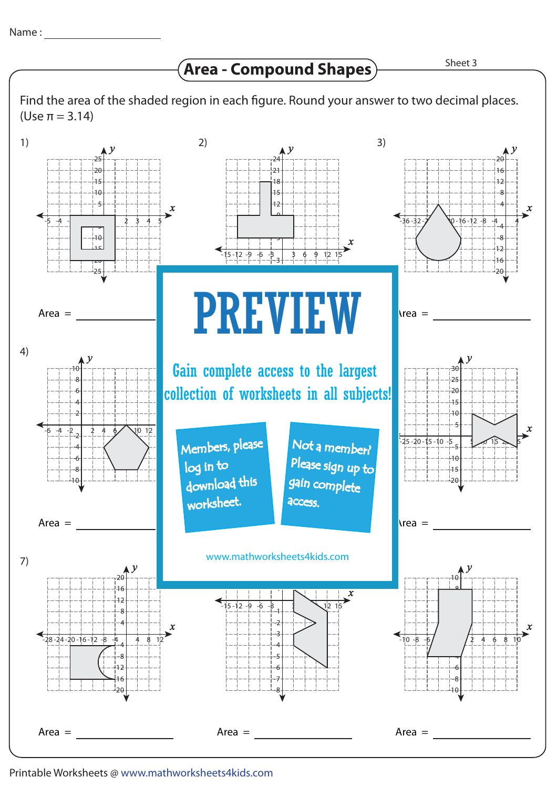## **Area - Compound Shapes**

Find the area of the shaded region in each figure. Round your answer to two decimal places. (Use π = 3.14)



Printable Worksheets @ www.mathworksheets4kids.com